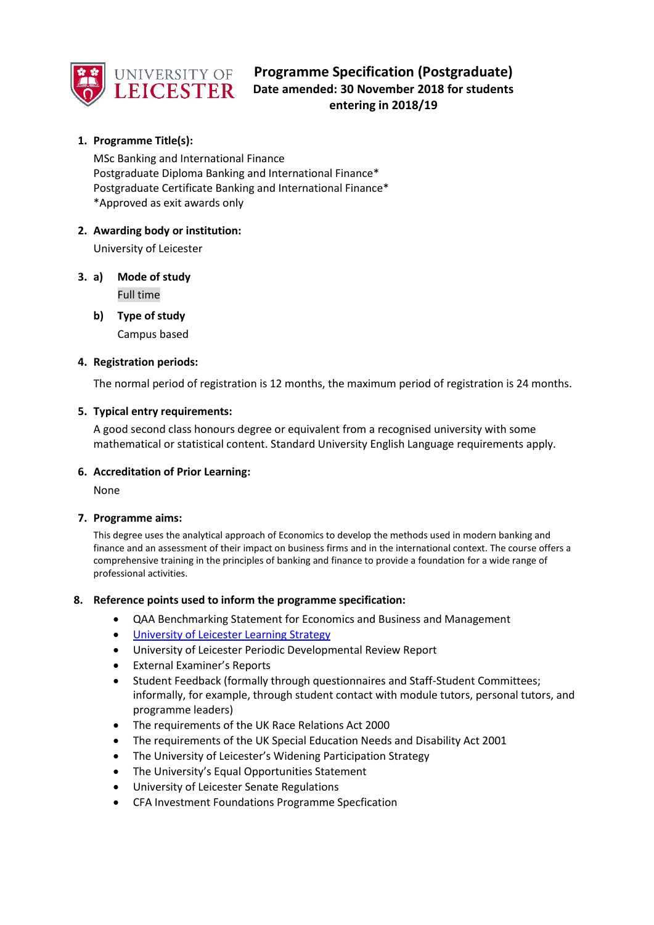

# **Programme Specification (Postgraduate) Date amended: 30 November 2018 for students entering in 2018/19**

# **1. Programme Title(s):**

MSc Banking and International Finance Postgraduate Diploma Banking and International Finance\* Postgraduate Certificate Banking and International Finance\* \*Approved as exit awards only

## **2. Awarding body or institution:**

University of Leicester

- **3. a) Mode of study** Full time
	- **b) Type of study** Campus based

## **4. Registration periods:**

The normal period of registration is 12 months, the maximum period of registration is 24 months.

## **5. Typical entry requirements:**

A good second class honours degree or equivalent from a recognised university with some mathematical or statistical content. Standard University English Language requirements apply.

## **6. Accreditation of Prior Learning:**

None

## **7. Programme aims:**

This degree uses the analytical approach of Economics to develop the methods used in modern banking and finance and an assessment of their impact on business firms and in the international context. The course offers a comprehensive training in the principles of banking and finance to provide a foundation for a wide range of professional activities.

## **8. Reference points used to inform the programme specification:**

- QAA Benchmarking Statement for Economics and Business and Management
- [University of Leicester Learning Strategy](https://www2.le.ac.uk/offices/sas2/quality/documents/learning-strategy-2016-2020)
- University of Leicester Periodic Developmental Review Report
- External Examiner's Reports
- Student Feedback (formally through questionnaires and Staff-Student Committees; informally, for example, through student contact with module tutors, personal tutors, and programme leaders)
- The requirements of the UK Race Relations Act 2000
- The requirements of the UK Special Education Needs and Disability Act 2001
- The University of Leicester's Widening Participation Strategy
- The University's Equal Opportunities Statement
- University of Leicester Senate Regulations
- CFA Investment Foundations Programme Specfication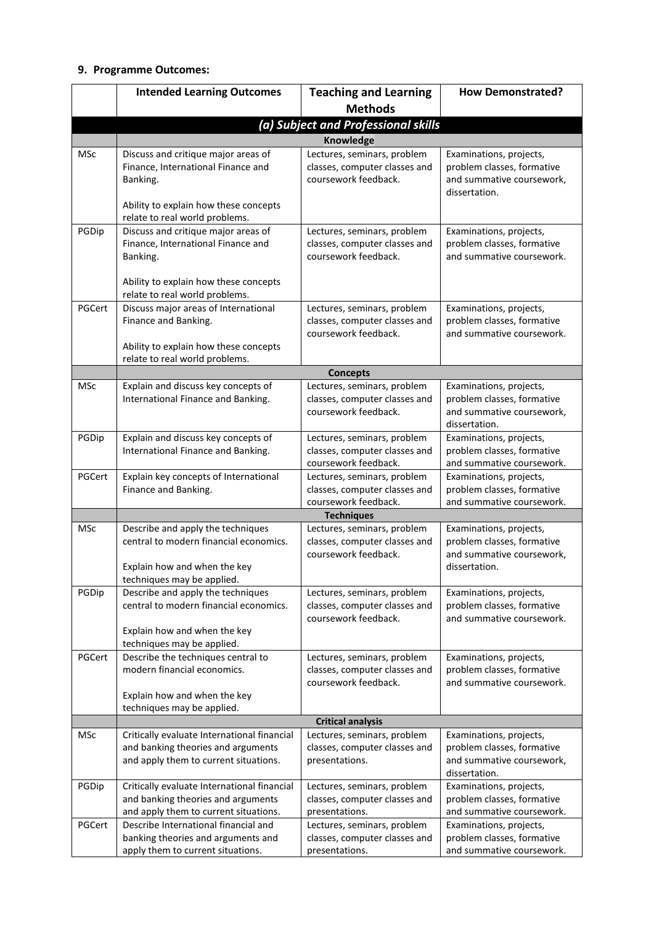## **9. Programme Outcomes:**

|                 | <b>Intended Learning Outcomes</b>                                                                                                                                  | <b>Teaching and Learning</b>                                                                                  | <b>How Demonstrated?</b>                                                                                      |
|-----------------|--------------------------------------------------------------------------------------------------------------------------------------------------------------------|---------------------------------------------------------------------------------------------------------------|---------------------------------------------------------------------------------------------------------------|
|                 |                                                                                                                                                                    | <b>Methods</b>                                                                                                |                                                                                                               |
|                 |                                                                                                                                                                    | (a) Subject and Professional skills                                                                           |                                                                                                               |
|                 |                                                                                                                                                                    | Knowledge                                                                                                     |                                                                                                               |
| <b>MSc</b>      | Discuss and critique major areas of<br>Finance, International Finance and<br>Banking.<br>Ability to explain how these concepts<br>relate to real world problems.   | Lectures, seminars, problem<br>classes, computer classes and<br>coursework feedback.                          | Examinations, projects,<br>problem classes, formative<br>and summative coursework,<br>dissertation.           |
| PGDip           | Discuss and critique major areas of<br>Finance, International Finance and<br>Banking.<br>Ability to explain how these concepts<br>relate to real world problems.   | Lectures, seminars, problem<br>classes, computer classes and<br>coursework feedback.                          | Examinations, projects,<br>problem classes, formative<br>and summative coursework.                            |
| PGCert          | Discuss major areas of International<br>Finance and Banking.<br>Ability to explain how these concepts<br>relate to real world problems.                            | Lectures, seminars, problem<br>classes, computer classes and<br>coursework feedback.                          | Examinations, projects,<br>problem classes, formative<br>and summative coursework.                            |
|                 |                                                                                                                                                                    | <b>Concepts</b>                                                                                               |                                                                                                               |
| MSc             | Explain and discuss key concepts of<br>International Finance and Banking.                                                                                          | Lectures, seminars, problem<br>classes, computer classes and<br>coursework feedback.                          | Examinations, projects,<br>problem classes, formative<br>and summative coursework,<br>dissertation.           |
| PGDip           | Explain and discuss key concepts of<br>International Finance and Banking.                                                                                          | Lectures, seminars, problem<br>classes, computer classes and<br>coursework feedback.                          | Examinations, projects,<br>problem classes, formative<br>and summative coursework.                            |
| PGCert          | Explain key concepts of International<br>Finance and Banking.                                                                                                      | Lectures, seminars, problem<br>classes, computer classes and<br>coursework feedback.                          | Examinations, projects,<br>problem classes, formative<br>and summative coursework.                            |
|                 |                                                                                                                                                                    | <b>Techniques</b>                                                                                             |                                                                                                               |
| MSc             | Describe and apply the techniques<br>central to modern financial economics.<br>Explain how and when the key<br>techniques may be applied.                          | Lectures, seminars, problem<br>classes, computer classes and<br>coursework feedback.                          | Examinations, projects,<br>problem classes, formative<br>and summative coursework,<br>dissertation.           |
| PGDip           | Describe and apply the techniques<br>central to modern financial economics.<br>Explain how and when the key<br>techniques may be applied.                          | Lectures, seminars, problem<br>classes, computer classes and<br>coursework feedback.                          | Examinations, projects,<br>problem classes, formative<br>and summative coursework.                            |
| PGCert          | Describe the techniques central to<br>modern financial economics.<br>Explain how and when the key<br>techniques may be applied.                                    | Lectures, seminars, problem<br>classes, computer classes and<br>coursework feedback.                          | Examinations, projects,<br>problem classes, formative<br>and summative coursework.                            |
|                 |                                                                                                                                                                    | <b>Critical analysis</b>                                                                                      |                                                                                                               |
| MSc             | Critically evaluate International financial<br>and banking theories and arguments<br>and apply them to current situations.                                         | Lectures, seminars, problem<br>classes, computer classes and<br>presentations.                                | Examinations, projects,<br>problem classes, formative<br>and summative coursework,<br>dissertation.           |
| PGDip<br>PGCert | Critically evaluate International financial<br>and banking theories and arguments<br>and apply them to current situations.<br>Describe International financial and | Lectures, seminars, problem<br>classes, computer classes and<br>presentations.<br>Lectures, seminars, problem | Examinations, projects,<br>problem classes, formative<br>and summative coursework.<br>Examinations, projects, |
|                 | banking theories and arguments and<br>apply them to current situations.                                                                                            | classes, computer classes and<br>presentations.                                                               | problem classes, formative<br>and summative coursework.                                                       |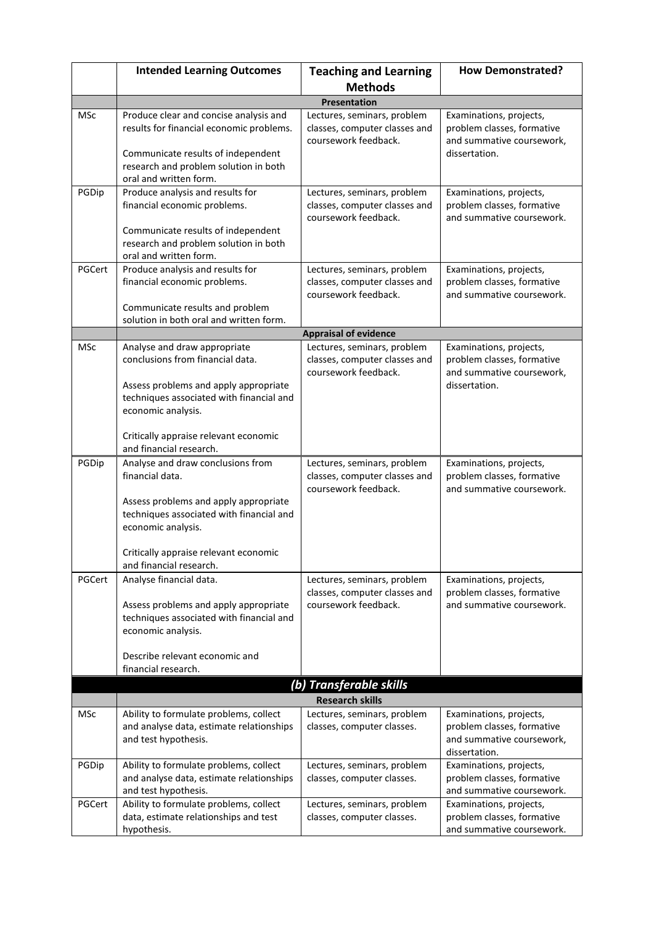|        | <b>Intended Learning Outcomes</b>                                                                                                                                                           | <b>Teaching and Learning</b>                                                                                         | <b>How Demonstrated?</b>                                                                            |
|--------|---------------------------------------------------------------------------------------------------------------------------------------------------------------------------------------------|----------------------------------------------------------------------------------------------------------------------|-----------------------------------------------------------------------------------------------------|
|        |                                                                                                                                                                                             | <b>Methods</b>                                                                                                       |                                                                                                     |
|        |                                                                                                                                                                                             | <b>Presentation</b>                                                                                                  |                                                                                                     |
| MSc    | Produce clear and concise analysis and<br>results for financial economic problems.<br>Communicate results of independent<br>research and problem solution in both<br>oral and written form. | Lectures, seminars, problem<br>classes, computer classes and<br>coursework feedback.                                 | Examinations, projects,<br>problem classes, formative<br>and summative coursework,<br>dissertation. |
| PGDip  | Produce analysis and results for<br>financial economic problems.<br>Communicate results of independent<br>research and problem solution in both<br>oral and written form.                   | Lectures, seminars, problem<br>classes, computer classes and<br>coursework feedback.                                 | Examinations, projects,<br>problem classes, formative<br>and summative coursework.                  |
| PGCert | Produce analysis and results for<br>financial economic problems.<br>Communicate results and problem<br>solution in both oral and written form.                                              | Lectures, seminars, problem<br>classes, computer classes and<br>coursework feedback.<br><b>Appraisal of evidence</b> | Examinations, projects,<br>problem classes, formative<br>and summative coursework.                  |
| MSc    | Analyse and draw appropriate                                                                                                                                                                | Lectures, seminars, problem                                                                                          | Examinations, projects,                                                                             |
|        | conclusions from financial data.<br>Assess problems and apply appropriate<br>techniques associated with financial and<br>economic analysis.                                                 | classes, computer classes and<br>coursework feedback.                                                                | problem classes, formative<br>and summative coursework,<br>dissertation.                            |
|        | Critically appraise relevant economic<br>and financial research.                                                                                                                            |                                                                                                                      |                                                                                                     |
| PGDip  | Analyse and draw conclusions from<br>financial data.<br>Assess problems and apply appropriate<br>techniques associated with financial and<br>economic analysis.                             | Lectures, seminars, problem<br>classes, computer classes and<br>coursework feedback.                                 | Examinations, projects,<br>problem classes, formative<br>and summative coursework.                  |
|        | Critically appraise relevant economic<br>and financial research.                                                                                                                            |                                                                                                                      |                                                                                                     |
| PGCert | Analyse financial data.<br>Assess problems and apply appropriate<br>techniques associated with financial and<br>economic analysis.<br>Describe relevant economic and<br>financial research. | Lectures, seminars, problem<br>classes, computer classes and<br>coursework feedback.                                 | Examinations, projects,<br>problem classes, formative<br>and summative coursework.                  |
|        |                                                                                                                                                                                             | (b) Transferable skills                                                                                              |                                                                                                     |
|        |                                                                                                                                                                                             | <b>Research skills</b>                                                                                               |                                                                                                     |
| MSc    | Ability to formulate problems, collect<br>and analyse data, estimate relationships<br>and test hypothesis.                                                                                  | Lectures, seminars, problem<br>classes, computer classes.                                                            | Examinations, projects,<br>problem classes, formative<br>and summative coursework,<br>dissertation. |
| PGDip  | Ability to formulate problems, collect<br>and analyse data, estimate relationships<br>and test hypothesis.                                                                                  | Lectures, seminars, problem<br>classes, computer classes.                                                            | Examinations, projects,<br>problem classes, formative<br>and summative coursework.                  |
| PGCert | Ability to formulate problems, collect<br>data, estimate relationships and test<br>hypothesis.                                                                                              | Lectures, seminars, problem<br>classes, computer classes.                                                            | Examinations, projects,<br>problem classes, formative<br>and summative coursework.                  |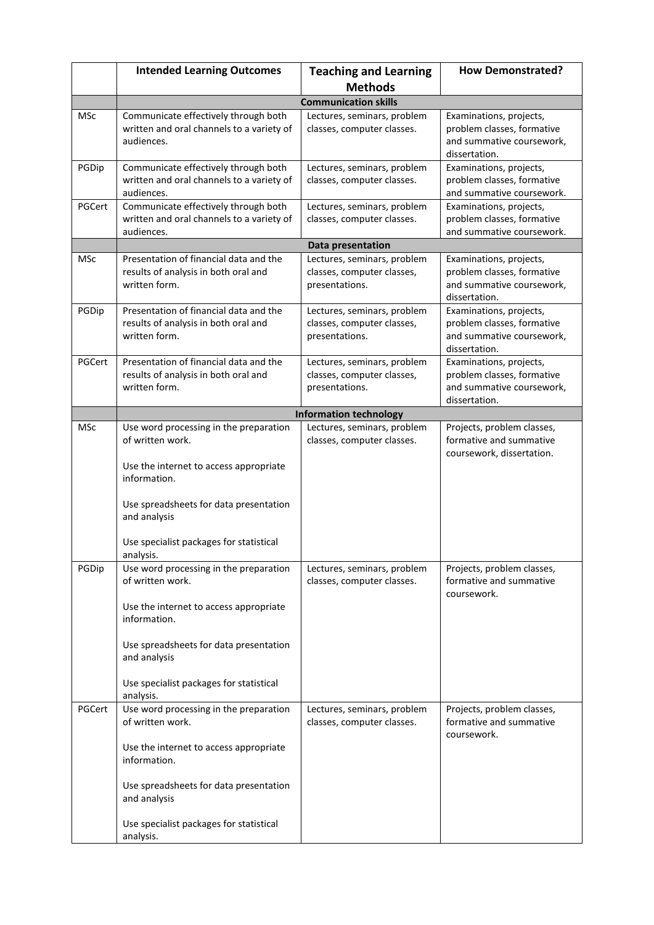|            | <b>Intended Learning Outcomes</b>                                                                                                                                                                                                      | <b>Teaching and Learning</b>                                                | <b>How Demonstrated?</b>                                                                            |
|------------|----------------------------------------------------------------------------------------------------------------------------------------------------------------------------------------------------------------------------------------|-----------------------------------------------------------------------------|-----------------------------------------------------------------------------------------------------|
|            |                                                                                                                                                                                                                                        | <b>Methods</b>                                                              |                                                                                                     |
|            |                                                                                                                                                                                                                                        | <b>Communication skills</b>                                                 |                                                                                                     |
| <b>MSc</b> | Communicate effectively through both<br>written and oral channels to a variety of<br>audiences.                                                                                                                                        | Lectures, seminars, problem<br>classes, computer classes.                   | Examinations, projects,<br>problem classes, formative<br>and summative coursework,<br>dissertation. |
| PGDip      | Communicate effectively through both<br>written and oral channels to a variety of<br>audiences.                                                                                                                                        | Lectures, seminars, problem<br>classes, computer classes.                   | Examinations, projects,<br>problem classes, formative<br>and summative coursework.                  |
| PGCert     | Communicate effectively through both<br>written and oral channels to a variety of<br>audiences.                                                                                                                                        | Lectures, seminars, problem<br>classes, computer classes.                   | Examinations, projects,<br>problem classes, formative<br>and summative coursework.                  |
|            |                                                                                                                                                                                                                                        | <b>Data presentation</b>                                                    |                                                                                                     |
| MSc        | Presentation of financial data and the<br>results of analysis in both oral and<br>written form.                                                                                                                                        | Lectures, seminars, problem<br>classes, computer classes,<br>presentations. | Examinations, projects,<br>problem classes, formative<br>and summative coursework,<br>dissertation. |
| PGDip      | Presentation of financial data and the<br>results of analysis in both oral and<br>written form.                                                                                                                                        | Lectures, seminars, problem<br>classes, computer classes,<br>presentations. | Examinations, projects,<br>problem classes, formative<br>and summative coursework,<br>dissertation. |
| PGCert     | Presentation of financial data and the<br>results of analysis in both oral and<br>written form.                                                                                                                                        | Lectures, seminars, problem<br>classes, computer classes,<br>presentations. | Examinations, projects,<br>problem classes, formative<br>and summative coursework,<br>dissertation. |
|            |                                                                                                                                                                                                                                        | <b>Information technology</b>                                               |                                                                                                     |
| <b>MSc</b> | Use word processing in the preparation<br>of written work.<br>Use the internet to access appropriate<br>information.<br>Use spreadsheets for data presentation<br>and analysis<br>Use specialist packages for statistical<br>analysis. | Lectures, seminars, problem<br>classes, computer classes.                   | Projects, problem classes,<br>formative and summative<br>coursework, dissertation.                  |
| PGDip      | Use word processing in the preparation<br>of written work.<br>Use the internet to access appropriate<br>information.<br>Use spreadsheets for data presentation<br>and analysis<br>Use specialist packages for statistical<br>analysis. | Lectures, seminars, problem<br>classes, computer classes.                   | Projects, problem classes,<br>formative and summative<br>coursework.                                |
| PGCert     | Use word processing in the preparation<br>of written work.<br>Use the internet to access appropriate<br>information.<br>Use spreadsheets for data presentation<br>and analysis<br>Use specialist packages for statistical<br>analysis. | Lectures, seminars, problem<br>classes, computer classes.                   | Projects, problem classes,<br>formative and summative<br>coursework.                                |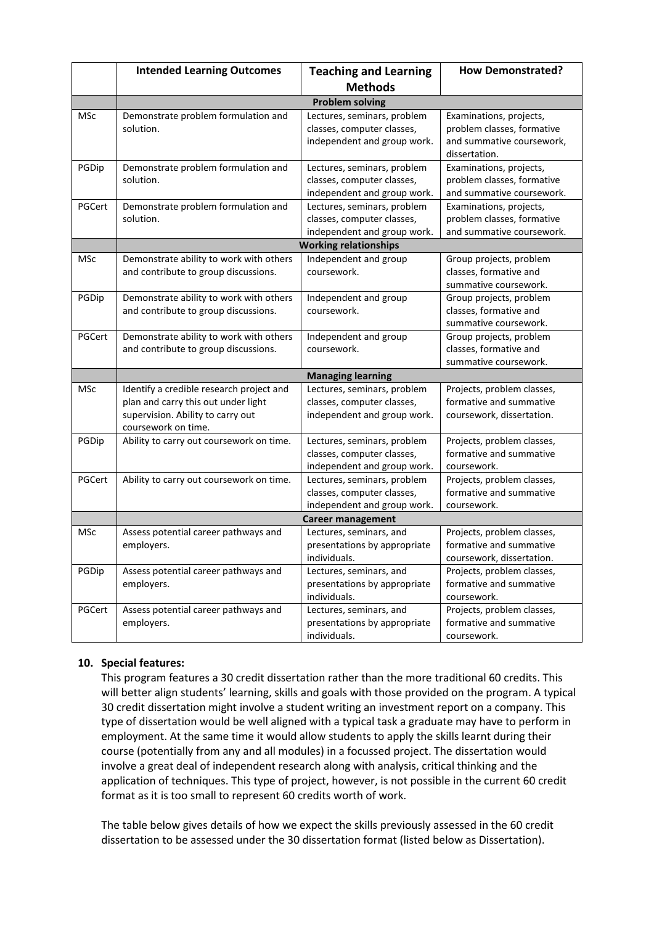|            | <b>Intended Learning Outcomes</b>                                                                                                           | <b>Teaching and Learning</b>                                                             | <b>How Demonstrated?</b>                                                                            |
|------------|---------------------------------------------------------------------------------------------------------------------------------------------|------------------------------------------------------------------------------------------|-----------------------------------------------------------------------------------------------------|
|            |                                                                                                                                             | <b>Methods</b>                                                                           |                                                                                                     |
|            | <b>Problem solving</b>                                                                                                                      |                                                                                          |                                                                                                     |
| MSc        | Demonstrate problem formulation and<br>solution.                                                                                            | Lectures, seminars, problem<br>classes, computer classes,<br>independent and group work. | Examinations, projects,<br>problem classes, formative<br>and summative coursework,<br>dissertation. |
| PGDip      | Demonstrate problem formulation and<br>solution.                                                                                            | Lectures, seminars, problem<br>classes, computer classes,<br>independent and group work. | Examinations, projects,<br>problem classes, formative<br>and summative coursework.                  |
| PGCert     | Demonstrate problem formulation and<br>solution.                                                                                            | Lectures, seminars, problem<br>classes, computer classes,<br>independent and group work. | Examinations, projects,<br>problem classes, formative<br>and summative coursework.                  |
|            | <b>Working relationships</b>                                                                                                                |                                                                                          |                                                                                                     |
| <b>MSc</b> | Demonstrate ability to work with others<br>and contribute to group discussions.                                                             | Independent and group<br>coursework.                                                     | Group projects, problem<br>classes, formative and<br>summative coursework.                          |
| PGDip      | Demonstrate ability to work with others<br>and contribute to group discussions.                                                             | Independent and group<br>coursework.                                                     | Group projects, problem<br>classes, formative and<br>summative coursework.                          |
| PGCert     | Demonstrate ability to work with others<br>and contribute to group discussions.                                                             | Independent and group<br>coursework.                                                     | Group projects, problem<br>classes, formative and<br>summative coursework.                          |
|            |                                                                                                                                             | <b>Managing learning</b>                                                                 |                                                                                                     |
| MSc        | Identify a credible research project and<br>plan and carry this out under light<br>supervision. Ability to carry out<br>coursework on time. | Lectures, seminars, problem<br>classes, computer classes,<br>independent and group work. | Projects, problem classes,<br>formative and summative<br>coursework, dissertation.                  |
| PGDip      | Ability to carry out coursework on time.                                                                                                    | Lectures, seminars, problem<br>classes, computer classes,<br>independent and group work. | Projects, problem classes,<br>formative and summative<br>coursework.                                |
| PGCert     | Ability to carry out coursework on time.                                                                                                    | Lectures, seminars, problem<br>classes, computer classes,<br>independent and group work. | Projects, problem classes,<br>formative and summative<br>coursework.                                |
|            |                                                                                                                                             | <b>Career management</b>                                                                 |                                                                                                     |
| <b>MSc</b> | Assess potential career pathways and<br>employers.                                                                                          | Lectures, seminars, and<br>presentations by appropriate<br>individuals.                  | Projects, problem classes,<br>formative and summative<br>coursework, dissertation.                  |
| PGDip      | Assess potential career pathways and<br>employers.                                                                                          | Lectures, seminars, and<br>presentations by appropriate<br>individuals.                  | Projects, problem classes,<br>formative and summative<br>coursework.                                |
| PGCert     | Assess potential career pathways and<br>employers.                                                                                          | Lectures, seminars, and<br>presentations by appropriate<br>individuals.                  | Projects, problem classes,<br>formative and summative<br>coursework.                                |

# **10. Special features:**

This program features a 30 credit dissertation rather than the more traditional 60 credits. This will better align students' learning, skills and goals with those provided on the program. A typical 30 credit dissertation might involve a student writing an investment report on a company. This type of dissertation would be well aligned with a typical task a graduate may have to perform in employment. At the same time it would allow students to apply the skills learnt during their course (potentially from any and all modules) in a focussed project. The dissertation would involve a great deal of independent research along with analysis, critical thinking and the application of techniques. This type of project, however, is not possible in the current 60 credit format as it is too small to represent 60 credits worth of work.

The table below gives details of how we expect the skills previously assessed in the 60 credit dissertation to be assessed under the 30 dissertation format (listed below as Dissertation).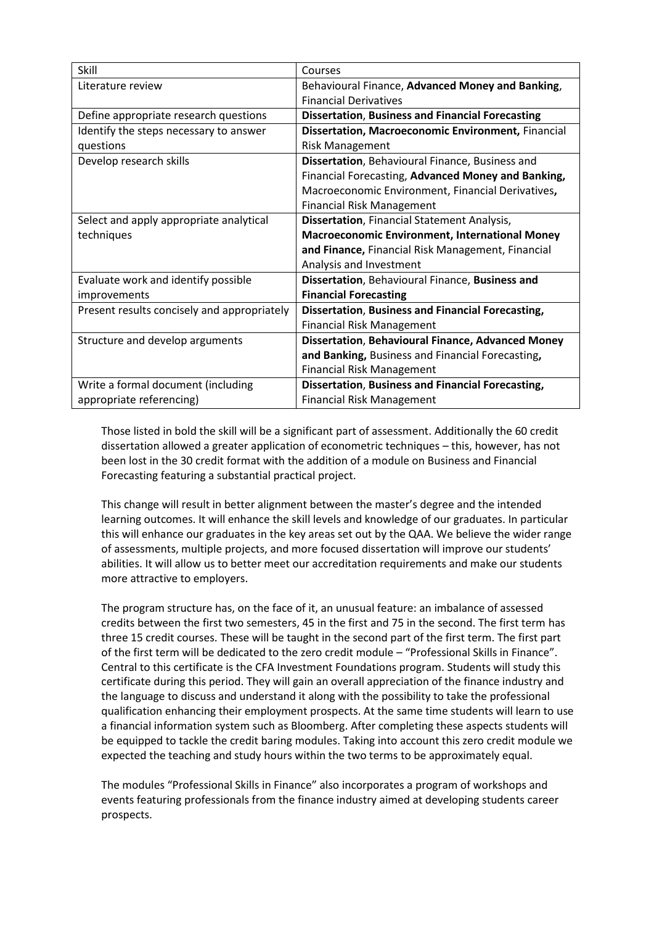| Skill                                       | Courses                                                  |  |
|---------------------------------------------|----------------------------------------------------------|--|
| Literature review                           | Behavioural Finance, Advanced Money and Banking,         |  |
|                                             | <b>Financial Derivatives</b>                             |  |
| Define appropriate research questions       | <b>Dissertation, Business and Financial Forecasting</b>  |  |
| Identify the steps necessary to answer      | Dissertation, Macroeconomic Environment, Financial       |  |
| questions                                   | <b>Risk Management</b>                                   |  |
| Develop research skills                     | Dissertation, Behavioural Finance, Business and          |  |
|                                             | Financial Forecasting, Advanced Money and Banking,       |  |
|                                             | Macroeconomic Environment, Financial Derivatives,        |  |
|                                             | <b>Financial Risk Management</b>                         |  |
| Select and apply appropriate analytical     | Dissertation, Financial Statement Analysis,              |  |
| techniques                                  | <b>Macroeconomic Environment, International Money</b>    |  |
|                                             | and Finance, Financial Risk Management, Financial        |  |
|                                             | Analysis and Investment                                  |  |
| Evaluate work and identify possible         | Dissertation, Behavioural Finance, Business and          |  |
| improvements                                | <b>Financial Forecasting</b>                             |  |
| Present results concisely and appropriately | Dissertation, Business and Financial Forecasting,        |  |
|                                             | <b>Financial Risk Management</b>                         |  |
| Structure and develop arguments             | <b>Dissertation, Behavioural Finance, Advanced Money</b> |  |
|                                             | and Banking, Business and Financial Forecasting,         |  |
|                                             | <b>Financial Risk Management</b>                         |  |
| Write a formal document (including          | Dissertation, Business and Financial Forecasting,        |  |
| appropriate referencing)                    | <b>Financial Risk Management</b>                         |  |

Those listed in bold the skill will be a significant part of assessment. Additionally the 60 credit dissertation allowed a greater application of econometric techniques – this, however, has not been lost in the 30 credit format with the addition of a module on Business and Financial Forecasting featuring a substantial practical project.

This change will result in better alignment between the master's degree and the intended learning outcomes. It will enhance the skill levels and knowledge of our graduates. In particular this will enhance our graduates in the key areas set out by the QAA. We believe the wider range of assessments, multiple projects, and more focused dissertation will improve our students' abilities. It will allow us to better meet our accreditation requirements and make our students more attractive to employers.

The program structure has, on the face of it, an unusual feature: an imbalance of assessed credits between the first two semesters, 45 in the first and 75 in the second. The first term has three 15 credit courses. These will be taught in the second part of the first term. The first part of the first term will be dedicated to the zero credit module – "Professional Skills in Finance". Central to this certificate is the CFA Investment Foundations program. Students will study this certificate during this period. They will gain an overall appreciation of the finance industry and the language to discuss and understand it along with the possibility to take the professional qualification enhancing their employment prospects. At the same time students will learn to use a financial information system such as Bloomberg. After completing these aspects students will be equipped to tackle the credit baring modules. Taking into account this zero credit module we expected the teaching and study hours within the two terms to be approximately equal.

The modules "Professional Skills in Finance" also incorporates a program of workshops and events featuring professionals from the finance industry aimed at developing students career prospects.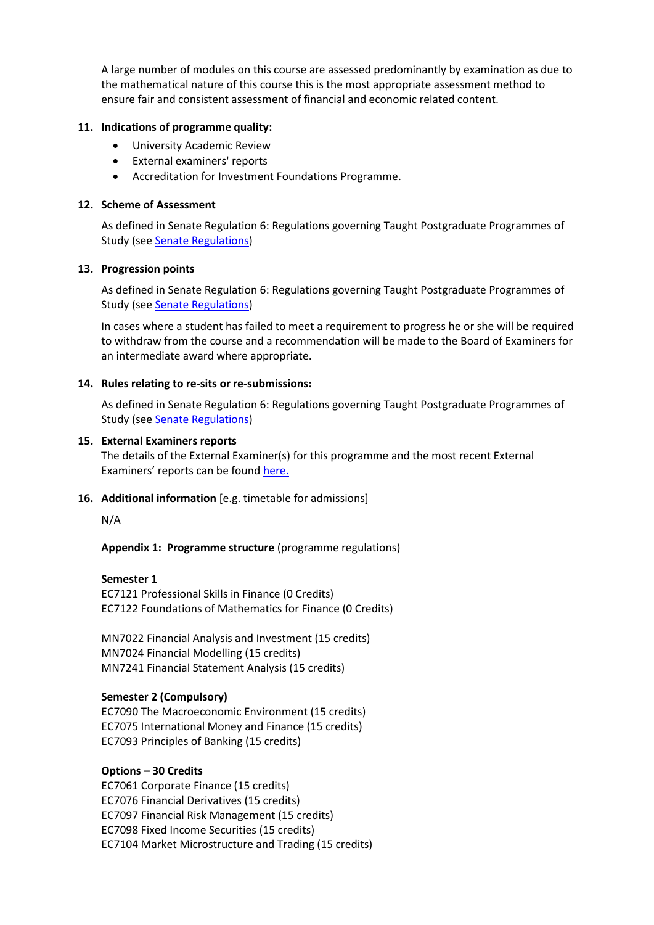A large number of modules on this course are assessed predominantly by examination as due to the mathematical nature of this course this is the most appropriate assessment method to ensure fair and consistent assessment of financial and economic related content.

## **11. Indications of programme quality:**

- University Academic Review
- External examiners' reports
- Accreditation for Investment Foundations Programme.

## **12. Scheme of Assessment**

As defined in Senate Regulation 6: Regulations governing Taught Postgraduate Programmes of Study (see [Senate Regulations\)](http://www2.le.ac.uk/offices/sas2/regulations/general-regulations-for-taught-programmes)

#### **13. Progression points**

As defined in Senate Regulation 6: Regulations governing Taught Postgraduate Programmes of Study (see [Senate Regulations\)](http://www2.le.ac.uk/offices/sas2/regulations/general-regulations-for-taught-programmes)

In cases where a student has failed to meet a requirement to progress he or she will be required to withdraw from the course and a recommendation will be made to the Board of Examiners for an intermediate award where appropriate.

#### **14. Rules relating to re-sits or re-submissions:**

As defined in Senate Regulation 6: Regulations governing Taught Postgraduate Programmes of Study (see [Senate Regulations\)](http://www2.le.ac.uk/offices/sas2/regulations/general-regulations-for-taught-programmes)

#### **15. External Examiners reports**

The details of the External Examiner(s) for this programme and the most recent External Examiners' reports can be found [here.](https://exampapers.le.ac.uk/xmlui/)

## **16. Additional information** [e.g. timetable for admissions]

N/A

**Appendix 1: Programme structure** (programme regulations)

## **Semester 1**

EC7121 Professional Skills in Finance (0 Credits) EC7122 Foundations of Mathematics for Finance (0 Credits)

MN7022 Financial Analysis and Investment (15 credits) MN7024 Financial Modelling (15 credits) MN7241 Financial Statement Analysis (15 credits)

## **Semester 2 (Compulsory)**

EC7090 The Macroeconomic Environment (15 credits) EC7075 International Money and Finance (15 credits) EC7093 Principles of Banking (15 credits)

## **Options – 30 Credits**

EC7061 Corporate Finance (15 credits) EC7076 Financial Derivatives (15 credits) EC7097 Financial Risk Management (15 credits) EC7098 Fixed Income Securities (15 credits) EC7104 Market Microstructure and Trading (15 credits)